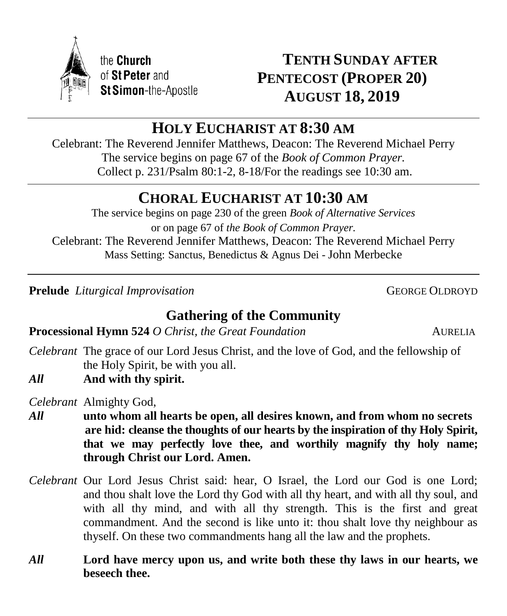

# **TENTH SUNDAY AFTER PENTECOST (PROPER 20) AUGUST 18, 2019**

# **HOLY EUCHARIST AT 8:30 AM**

Celebrant: The Reverend Jennifer Matthews, Deacon: The Reverend Michael Perry The service begins on page 67 of the *Book of Common Prayer.* Collect p. 231/Psalm 80:1-2, 8-18/For the readings see 10:30 am.

# **CHORAL EUCHARIST AT 10:30 AM**

The service begins on page 230 of the green *Book of Alternative Services* or on page 67 of *the Book of Common Prayer.* Celebrant: The Reverend Jennifer Matthews, Deacon: The Reverend Michael Perry Mass Setting: Sanctus, Benedictus & Agnus Dei - John Merbecke

**Prelude** *Liturgical Improvisation* GEORGE OLDROYD

# **Gathering of the Community**

**Processional Hymn 524** *O Christ, the Great Foundation* AURELIA

- *Celebrant* The grace of our Lord Jesus Christ, and the love of God, and the fellowship of the Holy Spirit, be with you all.
- *All* **And with thy spirit.**

*Celebrant* Almighty God,

- *All* **unto whom all hearts be open, all desires known, and from whom no secrets are hid: cleanse the thoughts of our hearts by the inspiration of thy Holy Spirit, that we may perfectly love thee, and worthily magnify thy holy name; through Christ our Lord. Amen.**
- *Celebrant* Our Lord Jesus Christ said: hear, O Israel, the Lord our God is one Lord; and thou shalt love the Lord thy God with all thy heart, and with all thy soul, and with all thy mind, and with all thy strength. This is the first and great commandment. And the second is like unto it: thou shalt love thy neighbour as thyself. On these two commandments hang all the law and the prophets.
- *All* **Lord have mercy upon us, and write both these thy laws in our hearts, we beseech thee.**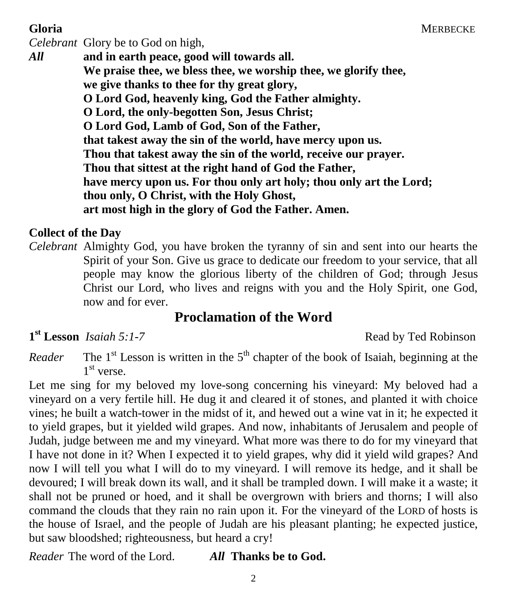*Celebrant* Glory be to God on high, *All* **and in earth peace, good will towards all. We praise thee, we bless thee, we worship thee, we glorify thee, we give thanks to thee for thy great glory, O Lord God, heavenly king, God the Father almighty. O Lord, the only-begotten Son, Jesus Christ; O Lord God, Lamb of God, Son of the Father, that takest away the sin of the world, have mercy upon us. Thou that takest away the sin of the world, receive our prayer. Thou that sittest at the right hand of God the Father, have mercy upon us. For thou only art holy; thou only art the Lord; thou only, O Christ, with the Holy Ghost, art most high in the glory of God the Father. Amen.**

## **Collect of the Day**

*Celebrant* Almighty God, you have broken the tyranny of sin and sent into our hearts the Spirit of your Son. Give us grace to dedicate our freedom to your service, that all people may know the glorious liberty of the children of God; through Jesus Christ our Lord, who lives and reigns with you and the Holy Spirit, one God, now and for ever.

# **Proclamation of the Word**

 $1<sup>st</sup>$  **Lesson** *Isaiah* 5:1-7

**st Lesson** *Isaiah 5:1-7* Read by Ted Robinson

 $Reader$  $s$ <sup>t</sup> Lesson is written in the 5<sup>th</sup> chapter of the book of Isaiah, beginning at the 1 st verse.

Let me sing for my beloved my love-song concerning his vineyard: My beloved had a vineyard on a very fertile hill. He dug it and cleared it of stones, and planted it with choice vines; he built a watch-tower in the midst of it, and hewed out a wine vat in it; he expected it to yield grapes, but it yielded wild grapes. And now, inhabitants of Jerusalem and people of Judah, judge between me and my vineyard. What more was there to do for my vineyard that I have not done in it? When I expected it to yield grapes, why did it yield wild grapes? And now I will tell you what I will do to my vineyard. I will remove its hedge, and it shall be devoured; I will break down its wall, and it shall be trampled down. I will make it a waste; it shall not be pruned or hoed, and it shall be overgrown with briers and thorns; I will also command the clouds that they rain no rain upon it. For the vineyard of the LORD of hosts is the house of Israel, and the people of Judah are his pleasant planting; he expected justice, but saw bloodshed; righteousness, but heard a cry!

*Reader* The word of the Lord. *All* **Thanks be to God.**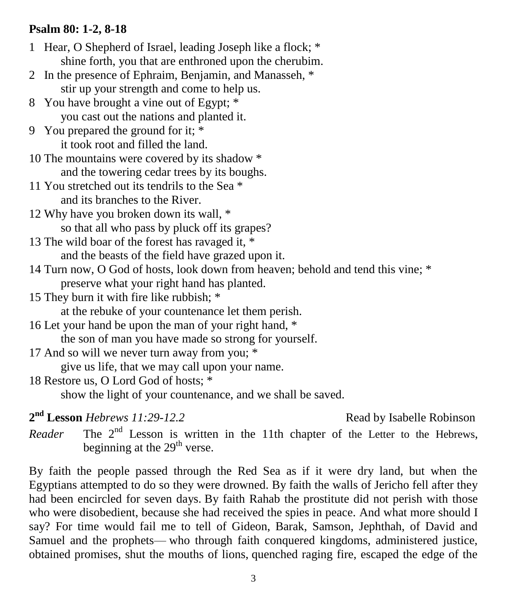### **Psalm 80: 1-2, 8-18**

| 1 Hear, O Shepherd of Israel, leading Joseph like a flock; *                     |                    |
|----------------------------------------------------------------------------------|--------------------|
| shine forth, you that are enthroned upon the cherubim.                           |                    |
| 2 In the presence of Ephraim, Benjamin, and Manasseh, *                          |                    |
| stir up your strength and come to help us.                                       |                    |
| 8 You have brought a vine out of Egypt; *                                        |                    |
| you cast out the nations and planted it.                                         |                    |
| 9 You prepared the ground for it; *                                              |                    |
| it took root and filled the land.                                                |                    |
| 10 The mountains were covered by its shadow *                                    |                    |
| and the towering cedar trees by its boughs.                                      |                    |
| 11 You stretched out its tendrils to the Sea *                                   |                    |
| and its branches to the River.                                                   |                    |
| 12 Why have you broken down its wall, *                                          |                    |
| so that all who pass by pluck off its grapes?                                    |                    |
| 13 The wild boar of the forest has ravaged it, *                                 |                    |
| and the beasts of the field have grazed upon it.                                 |                    |
| 14 Turn now, O God of hosts, look down from heaven; behold and tend this vine; * |                    |
| preserve what your right hand has planted.                                       |                    |
| 15 They burn it with fire like rubbish; *                                        |                    |
| at the rebuke of your countenance let them perish.                               |                    |
| 16 Let your hand be upon the man of your right hand, *                           |                    |
| the son of man you have made so strong for yourself.                             |                    |
| 17 And so will we never turn away from you; *                                    |                    |
| give us life, that we may call upon your name.                                   |                    |
| 18 Restore us, O Lord God of hosts; *                                            |                    |
| show the light of your countenance, and we shall be saved.                       |                    |
| 2 <sup>nd</sup> Lesson Hebrews 11:29-12.2                                        | Read by Isabelle I |

**nd Lesson** *Hebrews 11:29-12.2* Read by Isabelle Robinson

*Reader* The 2<sup>nd</sup> Lesson is written in the 11th chapter of the Letter to the Hebrews, beginning at the  $29<sup>th</sup>$  verse.

By faith the people passed through the Red Sea as if it were dry land, but when the Egyptians attempted to do so they were drowned. By faith the walls of Jericho fell after they had been encircled for seven days. By faith Rahab the prostitute did not perish with those who were disobedient, because she had received the spies in peace. And what more should I say? For time would fail me to tell of Gideon, Barak, Samson, Jephthah, of David and Samuel and the prophets— who through faith conquered kingdoms, administered justice, obtained promises, shut the mouths of lions, quenched raging fire, escaped the edge of the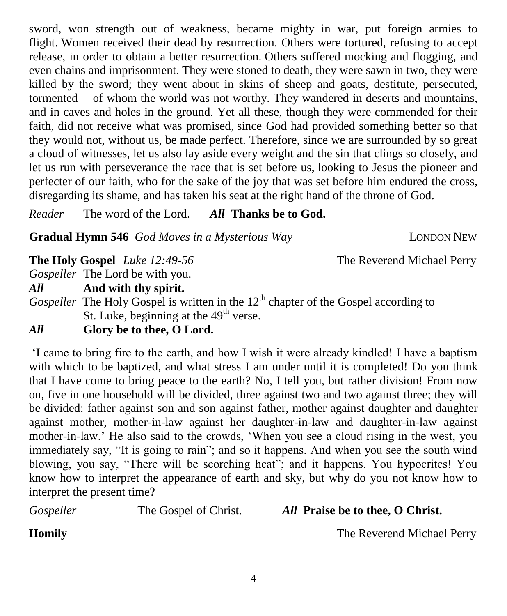sword, won strength out of weakness, became mighty in war, put foreign armies to flight. Women received their dead by resurrection. Others were tortured, refusing to accept release, in order to obtain a better resurrection. Others suffered mocking and flogging, and even chains and imprisonment. They were stoned to death, they were sawn in two, they were killed by the sword; they went about in skins of sheep and goats, destitute, persecuted, tormented— of whom the world was not worthy. They wandered in deserts and mountains, and in caves and holes in the ground. Yet all these, though they were commended for their faith, did not receive what was promised, since God had provided something better so that they would not, without us, be made perfect. Therefore, since we are surrounded by so great a cloud of witnesses, let us also lay aside every weight and the sin that clings so closely, and let us run with perseverance the race that is set before us, looking to Jesus the pioneer and perfecter of our faith, who for the sake of the joy that was set before him endured the cross, disregarding its shame, and has taken his seat at the right hand of the throne of God.

*Reader* The word of the Lord. *All* **Thanks be to God.**

**Gradual Hymn 546** *God Moves in a Mysterious Way* LONDON NEW

**The Holy Gospel** *Luke 12:49-56* The Reverend Michael Perry

*Gospeller* The Lord be with you.

*All* **And with thy spirit.**

*Gospeller* The Holy Gospel is written in the 12<sup>th</sup> chapter of the Gospel according to St. Luke, beginning at the  $49<sup>th</sup>$  verse.

## *All* **Glory be to thee, O Lord.**

'I came to bring fire to the earth, and how I wish it were already kindled! I have a baptism with which to be baptized, and what stress I am under until it is completed! Do you think that I have come to bring peace to the earth? No, I tell you, but rather division! From now on, five in one household will be divided, three against two and two against three; they will be divided: father against son and son against father, mother against daughter and daughter against mother, mother-in-law against her daughter-in-law and daughter-in-law against mother-in-law.' He also said to the crowds, 'When you see a cloud rising in the west, you immediately say, "It is going to rain"; and so it happens. And when you see the south wind blowing, you say, "There will be scorching heat"; and it happens. You hypocrites! You know how to interpret the appearance of earth and sky, but why do you not know how to interpret the present time?

*Gospeller* The Gospel of Christ. *All* **Praise be to thee, O Christ.**

**Homily** The Reverend Michael Perry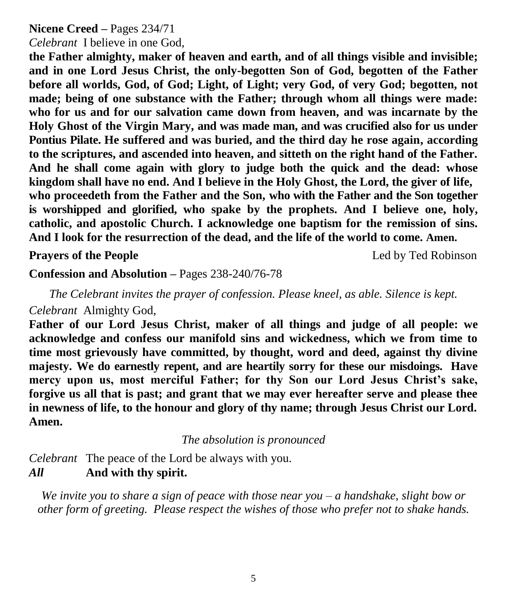### **Nicene Creed –** Pages 234/71

*Celebrant* I believe in one God,

**the Father almighty, maker of heaven and earth, and of all things visible and invisible; and in one Lord Jesus Christ, the only-begotten Son of God, begotten of the Father before all worlds, God, of God; Light, of Light; very God, of very God; begotten, not made; being of one substance with the Father; through whom all things were made: who for us and for our salvation came down from heaven, and was incarnate by the Holy Ghost of the Virgin Mary, and was made man, and was crucified also for us under Pontius Pilate. He suffered and was buried, and the third day he rose again, according to the scriptures, and ascended into heaven, and sitteth on the right hand of the Father. And he shall come again with glory to judge both the quick and the dead: whose kingdom shall have no end. And I believe in the Holy Ghost, the Lord, the giver of life, who proceedeth from the Father and the Son, who with the Father and the Son together is worshipped and glorified, who spake by the prophets. And I believe one, holy, catholic, and apostolic Church. I acknowledge one baptism for the remission of sins. And I look for the resurrection of the dead, and the life of the world to come. Amen.**

**Prayers of the People** Led by Ted Robinson

**Confession and Absolution –** Pages 238-240/76-78

*The Celebrant invites the prayer of confession. Please kneel, as able. Silence is kept. Celebrant* Almighty God,

**Father of our Lord Jesus Christ, maker of all things and judge of all people: we acknowledge and confess our manifold sins and wickedness, which we from time to time most grievously have committed, by thought, word and deed, against thy divine majesty. We do earnestly repent, and are heartily sorry for these our misdoings. Have mercy upon us, most merciful Father; for thy Son our Lord Jesus Christ's sake, forgive us all that is past; and grant that we may ever hereafter serve and please thee in newness of life, to the honour and glory of thy name; through Jesus Christ our Lord. Amen.**

*The absolution is pronounced*

*Celebrant* The peace of the Lord be always with you. *All* **And with thy spirit.**

*We invite you to share a sign of peace with those near you – a handshake, slight bow or other form of greeting. Please respect the wishes of those who prefer not to shake hands.*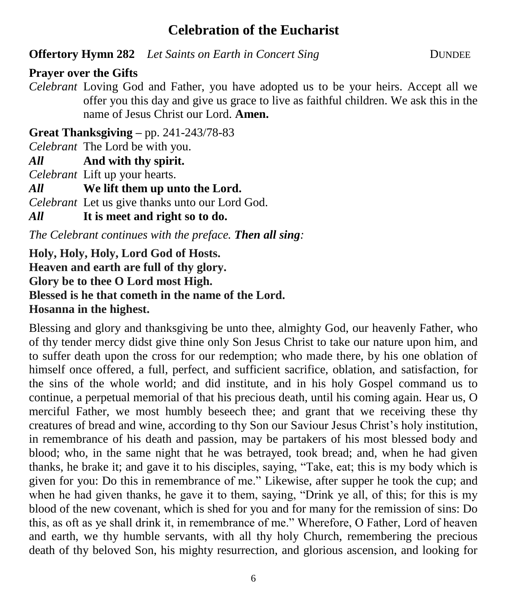## **Celebration of the Eucharist**

**Offertory Hymn 282** *Let Saints on Earth in Concert Sing* **DUNDEE** 

**Prayer over the Gifts**

*Celebrant* Loving God and Father, you have adopted us to be your heirs. Accept all we offer you this day and give us grace to live as faithful children. We ask this in the name of Jesus Christ our Lord. **Amen.**

**Great Thanksgiving –** pp. 241-243/78-83

*Celebrant* The Lord be with you.

*All* **And with thy spirit.** 

*Celebrant* Lift up your hearts.

*All* **We lift them up unto the Lord.** 

*Celebrant* Let us give thanks unto our Lord God.

*All* **It is meet and right so to do.** 

*The Celebrant continues with the preface. Then all sing:*

**Holy, Holy, Holy, Lord God of Hosts. Heaven and earth are full of thy glory. Glory be to thee O Lord most High. Blessed is he that cometh in the name of the Lord. Hosanna in the highest.**

Blessing and glory and thanksgiving be unto thee, almighty God, our heavenly Father, who of thy tender mercy didst give thine only Son Jesus Christ to take our nature upon him, and to suffer death upon the cross for our redemption; who made there, by his one oblation of himself once offered, a full, perfect, and sufficient sacrifice, oblation, and satisfaction, for the sins of the whole world; and did institute, and in his holy Gospel command us to continue, a perpetual memorial of that his precious death, until his coming again. Hear us, O merciful Father, we most humbly beseech thee; and grant that we receiving these thy creatures of bread and wine, according to thy Son our Saviour Jesus Christ's holy institution, in remembrance of his death and passion, may be partakers of his most blessed body and blood; who, in the same night that he was betrayed, took bread; and, when he had given thanks, he brake it; and gave it to his disciples, saying, "Take, eat; this is my body which is given for you: Do this in remembrance of me." Likewise, after supper he took the cup; and when he had given thanks, he gave it to them, saying, "Drink ye all, of this; for this is my blood of the new covenant, which is shed for you and for many for the remission of sins: Do this, as oft as ye shall drink it, in remembrance of me." Wherefore, O Father, Lord of heaven and earth, we thy humble servants, with all thy holy Church, remembering the precious death of thy beloved Son, his mighty resurrection, and glorious ascension, and looking for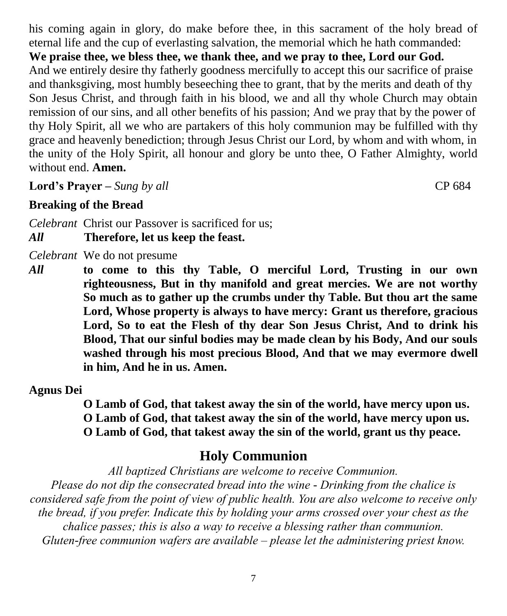his coming again in glory, do make before thee, in this sacrament of the holy bread of eternal life and the cup of everlasting salvation, the memorial which he hath commanded: **We praise thee, we bless thee, we thank thee, and we pray to thee, Lord our God.**  And we entirely desire thy fatherly goodness mercifully to accept this our sacrifice of praise and thanksgiving, most humbly beseeching thee to grant, that by the merits and death of thy Son Jesus Christ, and through faith in his blood, we and all thy whole Church may obtain remission of our sins, and all other benefits of his passion; And we pray that by the power of thy Holy Spirit, all we who are partakers of this holy communion may be fulfilled with thy grace and heavenly benediction; through Jesus Christ our Lord, by whom and with whom, in the unity of the Holy Spirit, all honour and glory be unto thee, O Father Almighty, world without end. **Amen.**

**Lord's Prayer –** *Sung by all* CP 684

## **Breaking of the Bread**

*Celebrant* Christ our Passover is sacrificed for us;

*All* **Therefore, let us keep the feast.**

*Celebrant* We do not presume

*All* **to come to this thy Table, O merciful Lord, Trusting in our own righteousness, But in thy manifold and great mercies. We are not worthy So much as to gather up the crumbs under thy Table. But thou art the same Lord, Whose property is always to have mercy: Grant us therefore, gracious Lord, So to eat the Flesh of thy dear Son Jesus Christ, And to drink his Blood, That our sinful bodies may be made clean by his Body, And our souls washed through his most precious Blood, And that we may evermore dwell in him, And he in us. Amen.**

## **Agnus Dei**

**O Lamb of God, that takest away the sin of the world, have mercy upon us. O Lamb of God, that takest away the sin of the world, have mercy upon us. O Lamb of God, that takest away the sin of the world, grant us thy peace.**

# **Holy Communion**

*All baptized Christians are welcome to receive Communion. Please do not dip the consecrated bread into the wine - Drinking from the chalice is considered safe from the point of view of public health. You are also welcome to receive only the bread, if you prefer. Indicate this by holding your arms crossed over your chest as the chalice passes; this is also a way to receive a blessing rather than communion. Gluten-free communion wafers are available – please let the administering priest know.*